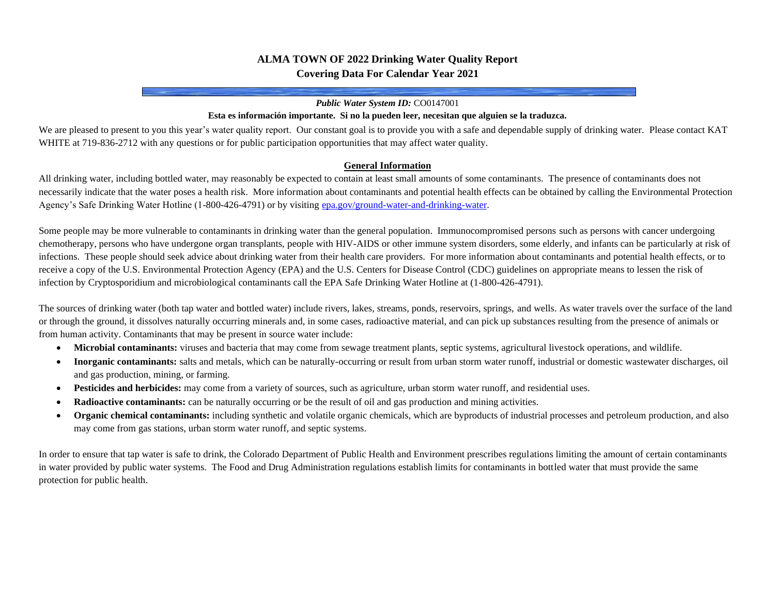## **ALMA TOWN OF 2022 Drinking Water Quality Report Covering Data For Calendar Year 2021**

#### *Public Water System ID:* CO0147001

#### **Esta es información importante. Si no la pueden leer, necesitan que alguien se la traduzca.**

We are pleased to present to you this year's water quality report. Our constant goal is to provide you with a safe and dependable supply of drinking water. Please contact KAT WHITE at 719-836-2712 with any questions or for public participation opportunities that may affect water quality.

#### **General Information**

All drinking water, including bottled water, may reasonably be expected to contain at least small amounts of some contaminants. The presence of contaminants does not necessarily indicate that the water poses a health risk. More information about contaminants and potential health effects can be obtained by calling the Environmental Protection Agency's Safe Drinking Water Hotline (1-800-426-4791) or by visitin[g epa.gov/ground-water-and-drinking-water.](https://www.epa.gov/ground-water-and-drinking-water)

Some people may be more vulnerable to contaminants in drinking water than the general population. Immunocompromised persons such as persons with cancer undergoing chemotherapy, persons who have undergone organ transplants, people with HIV-AIDS or other immune system disorders, some elderly, and infants can be particularly at risk of infections. These people should seek advice about drinking water from their health care providers. For more information about contaminants and potential health effects, or to receive a copy of the U.S. Environmental Protection Agency (EPA) and the U.S. Centers for Disease Control (CDC) guidelines on appropriate means to lessen the risk of infection by Cryptosporidium and microbiological contaminants call the EPA Safe Drinking Water Hotline at (1-800-426-4791).

The sources of drinking water (both tap water and bottled water) include rivers, lakes, streams, ponds, reservoirs, springs, and wells. As water travels over the surface of the land or through the ground, it dissolves naturally occurring minerals and, in some cases, radioactive material, and can pick up substances resulting from the presence of animals or from human activity. Contaminants that may be present in source water include:

- **Microbial contaminants:** viruses and bacteria that may come from sewage treatment plants, septic systems, agricultural livestock operations, and wildlife.
- **Inorganic contaminants:** salts and metals, which can be naturally-occurring or result from urban storm water runoff, industrial or domestic wastewater discharges, oil and gas production, mining, or farming.
- **Pesticides and herbicides:** may come from a variety of sources, such as agriculture, urban storm water runoff, and residential uses.
- **Radioactive contaminants:** can be naturally occurring or be the result of oil and gas production and mining activities.
- **Organic chemical contaminants:** including synthetic and volatile organic chemicals, which are byproducts of industrial processes and petroleum production, and also may come from gas stations, urban storm water runoff, and septic systems.

In order to ensure that tap water is safe to drink, the Colorado Department of Public Health and Environment prescribes regulations limiting the amount of certain contaminants in water provided by public water systems. The Food and Drug Administration regulations establish limits for contaminants in bottled water that must provide the same protection for public health.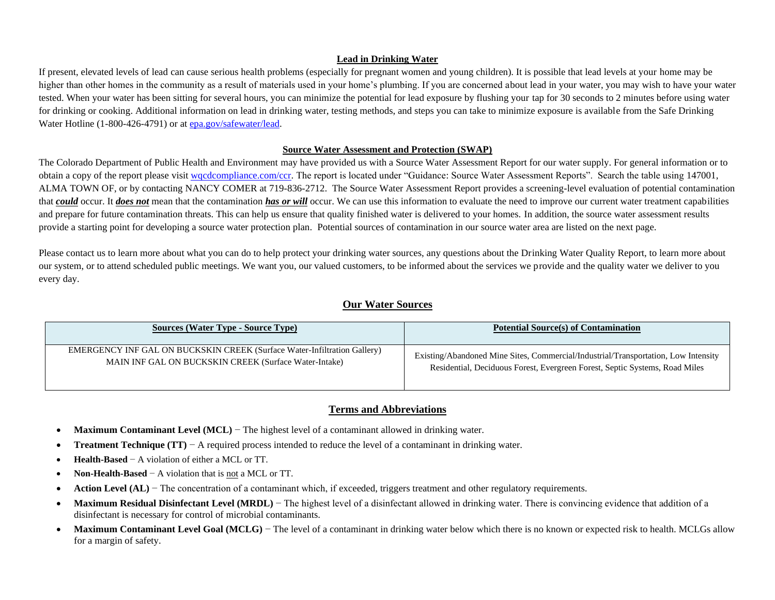### **Lead in Drinking Water**

If present, elevated levels of lead can cause serious health problems (especially for pregnant women and young children). It is possible that lead levels at your home may be higher than other homes in the community as a result of materials used in your home's plumbing. If you are concerned about lead in your water, you may wish to have your water tested. When your water has been sitting for several hours, you can minimize the potential for lead exposure by flushing your tap for 30 seconds to 2 minutes before using water for drinking or cooking. Additional information on lead in drinking water, testing methods, and steps you can take to minimize exposure is available from the Safe Drinking Water Hotline (1-800-426-4791) or a[t epa.gov/safewater/lead.](http://www.epa.gov/safewater/lead)

### **Source Water Assessment and Protection (SWAP)**

The Colorado Department of Public Health and Environment may have provided us with a Source Water Assessment Report for our water supply. For general information or to obtain a copy of the report please visit [wqcdcompliance.com/ccr.](https://wqcdcompliance.com/ccr) The report is located under "Guidance: Source Water Assessment Reports". Search the table using 147001, ALMA TOWN OF, or by contacting NANCY COMER at 719-836-2712. The Source Water Assessment Report provides a screening-level evaluation of potential contamination that **could** occur. It **does not** mean that the contamination **has or will** occur. We can use this information to evaluate the need to improve our current water treatment capabilities and prepare for future contamination threats. This can help us ensure that quality finished water is delivered to your homes. In addition, the source water assessment results provide a starting point for developing a source water protection plan. Potential sources of contamination in our source water area are listed on the next page.

Please contact us to learn more about what you can do to help protect your drinking water sources, any questions about the Drinking Water Quality Report, to learn more about our system, or to attend scheduled public meetings. We want you, our valued customers, to be informed about the services we provide and the quality water we deliver to you every day.

### **Our Water Sources**

| <b>Sources (Water Type - Source Type)</b>                                | <b>Potential Source(s) of Contamination</b>                                        |
|--------------------------------------------------------------------------|------------------------------------------------------------------------------------|
| EMERGENCY INF GAL ON BUCKSKIN CREEK (Surface Water-Infiltration Gallery) | Existing/Abandoned Mine Sites, Commercial/Industrial/Transportation, Low Intensity |
| MAIN INF GAL ON BUCKSKIN CREEK (Surface Water-Intake)                    | Residential, Deciduous Forest, Evergreen Forest, Septic Systems, Road Miles        |

## **Terms and Abbreviations**

- **Maximum Contaminant Level (MCL)** − The highest level of a contaminant allowed in drinking water.
- **Treatment Technique (TT)** − A required process intended to reduce the level of a contaminant in drinking water.
- **Health-Based** − A violation of either a MCL or TT.
- **Non-Health-Based** − A violation that is not a MCL or TT.
- **Action Level (AL)** − The concentration of a contaminant which, if exceeded, triggers treatment and other regulatory requirements.
- **Maximum Residual Disinfectant Level (MRDL)** The highest level of a disinfectant allowed in drinking water. There is convincing evidence that addition of a disinfectant is necessary for control of microbial contaminants.
- **Maximum Contaminant Level Goal (MCLG)** − The level of a contaminant in drinking water below which there is no known or expected risk to health. MCLGs allow for a margin of safety.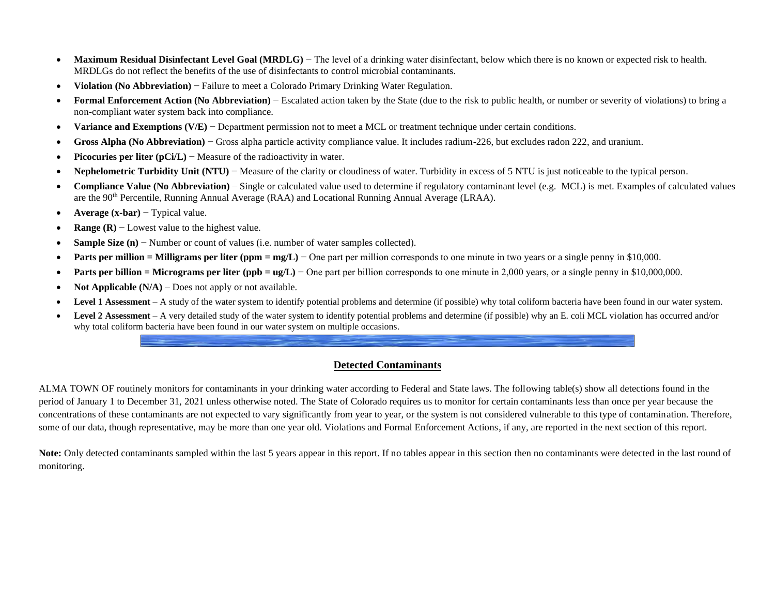- **Maximum Residual Disinfectant Level Goal (MRDLG)** The level of a drinking water disinfectant, below which there is no known or expected risk to health. MRDLGs do not reflect the benefits of the use of disinfectants to control microbial contaminants.
- **Violation (No Abbreviation)** − Failure to meet a Colorado Primary Drinking Water Regulation.
- **Formal Enforcement Action (No Abbreviation)** − Escalated action taken by the State (due to the risk to public health, or number or severity of violations) to bring a non-compliant water system back into compliance.
- **Variance and Exemptions (V/E)** − Department permission not to meet a MCL or treatment technique under certain conditions.
- **Gross Alpha (No Abbreviation)** − Gross alpha particle activity compliance value. It includes radium-226, but excludes radon 222, and uranium.
- **Picocuries per liter (pCi/L)** − Measure of the radioactivity in water.
- **Nephelometric Turbidity Unit (NTU)** − Measure of the clarity or cloudiness of water. Turbidity in excess of 5 NTU is just noticeable to the typical person.
- **Compliance Value (No Abbreviation)** Single or calculated value used to determine if regulatory contaminant level (e.g. MCL) is met. Examples of calculated values are the 90th Percentile, Running Annual Average (RAA) and Locational Running Annual Average (LRAA).
- **Average (x-bar)** − Typical value.
- **Range (R)** − Lowest value to the highest value.
- **Sample Size (n)** − Number or count of values (i.e. number of water samples collected).
- **Parts per million = Milligrams per liter (ppm = mg/L)** − One part per million corresponds to one minute in two years or a single penny in \$10,000.
- **Parts per billion = Micrograms per liter (ppb = ug/L)** One part per billion corresponds to one minute in 2,000 years, or a single penny in \$10,000,000.
- **Not Applicable (N/A)** Does not apply or not available.
- Level 1 Assessment A study of the water system to identify potential problems and determine (if possible) why total coliform bacteria have been found in our water system.
- Level 2 Assessment A very detailed study of the water system to identify potential problems and determine (if possible) why an E. coli MCL violation has occurred and/or why total coliform bacteria have been found in our water system on multiple occasions.

## **Detected Contaminants**

ALMA TOWN OF routinely monitors for contaminants in your drinking water according to Federal and State laws. The following table(s) show all detections found in the period of January 1 to December 31, 2021 unless otherwise noted. The State of Colorado requires us to monitor for certain contaminants less than once per year because the concentrations of these contaminants are not expected to vary significantly from year to year, or the system is not considered vulnerable to this type of contamination. Therefore, some of our data, though representative, may be more than one year old. Violations and Formal Enforcement Actions, if any, are reported in the next section of this report.

Note: Only detected contaminants sampled within the last 5 years appear in this report. If no tables appear in this section then no contaminants were detected in the last round of monitoring.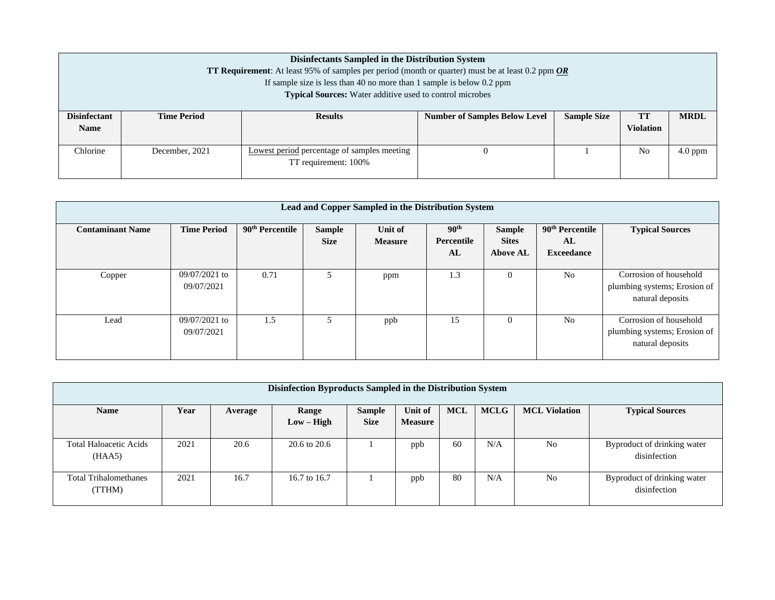|                                                                                                                                         | Disinfectants Sampled in the Distribution System<br><b>TT Requirement:</b> At least 95% of samples per period (month or quarter) must be at least 0.2 ppm OR<br>If sample size is less than 40 no more than 1 sample is below $0.2$ ppm<br><b>Typical Sources:</b> Water additive used to control microbes |                |                                      |                    |                               |             |  |  |  |  |
|-----------------------------------------------------------------------------------------------------------------------------------------|------------------------------------------------------------------------------------------------------------------------------------------------------------------------------------------------------------------------------------------------------------------------------------------------------------|----------------|--------------------------------------|--------------------|-------------------------------|-------------|--|--|--|--|
| <b>Disinfectant</b><br><b>Name</b>                                                                                                      | <b>Time Period</b>                                                                                                                                                                                                                                                                                         | <b>Results</b> | <b>Number of Samples Below Level</b> | <b>Sample Size</b> | <b>TT</b><br><b>Violation</b> | <b>MRDL</b> |  |  |  |  |
| Chlorine<br>N <sub>0</sub><br>$4.0$ ppm<br>December, 2021<br><b>Lowest period</b> percentage of samples meeting<br>TT requirement: 100% |                                                                                                                                                                                                                                                                                                            |                |                                      |                    |                               |             |  |  |  |  |

| Lead and Copper Sampled in the Distribution System |                               |                             |                              |                           |                                      |                                                  |                                                        |                                                                            |  |  |  |
|----------------------------------------------------|-------------------------------|-----------------------------|------------------------------|---------------------------|--------------------------------------|--------------------------------------------------|--------------------------------------------------------|----------------------------------------------------------------------------|--|--|--|
| <b>Contaminant Name</b>                            | <b>Time Period</b>            | 90 <sup>th</sup> Percentile | <b>Sample</b><br><b>Size</b> | Unit of<br><b>Measure</b> | 90 <sup>th</sup><br>Percentile<br>AL | <b>Sample</b><br><b>Sites</b><br><b>Above AL</b> | 90 <sup>th</sup> Percentile<br>AL<br><b>Exceedance</b> | <b>Typical Sources</b>                                                     |  |  |  |
| Copper                                             | $09/07/2021$ to<br>09/07/2021 | 0.71                        |                              | ppm                       | 1.3                                  | $\Omega$                                         | N <sub>o</sub>                                         | Corrosion of household<br>plumbing systems; Erosion of<br>natural deposits |  |  |  |
| Lead                                               | 09/07/2021 to<br>09/07/2021   | 1.5                         | 5                            | ppb                       | 15                                   | $\Omega$                                         | N <sub>o</sub>                                         | Corrosion of household<br>plumbing systems; Erosion of<br>natural deposits |  |  |  |

| Disinfection Byproducts Sampled in the Distribution System |      |         |              |             |                |            |             |                      |                                             |
|------------------------------------------------------------|------|---------|--------------|-------------|----------------|------------|-------------|----------------------|---------------------------------------------|
| <b>Name</b>                                                | Year | Average | Range        | Sample      | Unit of        | <b>MCL</b> | <b>MCLG</b> | <b>MCL Violation</b> | <b>Typical Sources</b>                      |
|                                                            |      |         | $Low - High$ | <b>Size</b> | <b>Measure</b> |            |             |                      |                                             |
| <b>Total Haloacetic Acids</b><br>(HAA5)                    | 2021 | 20.6    | 20.6 to 20.6 |             | ppb            | 60         | N/A         | No                   | Byproduct of drinking water<br>disinfection |
| <b>Total Trihalomethanes</b><br>(TTHM)                     | 2021 | 16.7    | 16.7 to 16.7 |             | ppb            | 80         | N/A         | No                   | Byproduct of drinking water<br>disinfection |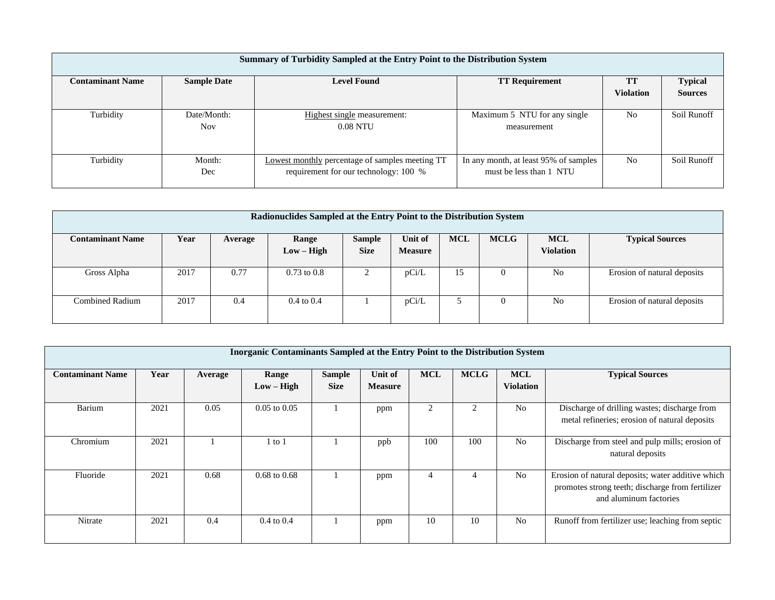| Summary of Turbidity Sampled at the Entry Point to the Distribution System |                           |                                                                                                 |                                                                  |                        |                                  |  |  |  |  |  |  |
|----------------------------------------------------------------------------|---------------------------|-------------------------------------------------------------------------------------------------|------------------------------------------------------------------|------------------------|----------------------------------|--|--|--|--|--|--|
| <b>Contaminant Name</b>                                                    | <b>Sample Date</b>        | <b>Level Found</b>                                                                              | <b>TT Requirement</b>                                            | TT<br><b>Violation</b> | <b>Typical</b><br><b>Sources</b> |  |  |  |  |  |  |
| Turbidity                                                                  | Date/Month:<br><b>Nov</b> | Highest single measurement:<br>$0.08$ NTU                                                       | Maximum 5 NTU for any single<br>measurement                      | N <sub>0</sub>         | Soil Runoff                      |  |  |  |  |  |  |
| Turbidity                                                                  | Month:<br>Dec             | <b>Lowest monthly percentage of samples meeting TT</b><br>requirement for our technology: 100 % | In any month, at least 95% of samples<br>must be less than 1 NTU | N <sub>0</sub>         | Soil Runoff                      |  |  |  |  |  |  |

| Radionuclides Sampled at the Entry Point to the Distribution System |      |         |                       |               |                |            |             |                  |                             |
|---------------------------------------------------------------------|------|---------|-----------------------|---------------|----------------|------------|-------------|------------------|-----------------------------|
| <b>Contaminant Name</b>                                             | Year | Average | Range                 | <b>Sample</b> | Unit of        | <b>MCL</b> | <b>MCLG</b> | <b>MCL</b>       | <b>Typical Sources</b>      |
|                                                                     |      |         | $Low - High$          | <b>Size</b>   | <b>Measure</b> |            |             | <b>Violation</b> |                             |
|                                                                     |      |         |                       |               |                |            |             |                  |                             |
| Gross Alpha                                                         | 2017 | 0.77    | $0.73$ to $0.8$       |               | pCi/L          | 15         | $\theta$    | No               | Erosion of natural deposits |
|                                                                     |      |         |                       |               |                |            |             |                  |                             |
| Combined Radium                                                     | 2017 | 0.4     | $0.4 \text{ to } 0.4$ |               | pCi/L          |            | $\Omega$    | No               | Erosion of natural deposits |
|                                                                     |      |         |                       |               |                |            |             |                  |                             |

| <b>Inorganic Contaminants Sampled at the Entry Point to the Distribution System</b> |      |         |                       |                              |                           |            |             |                                |                                                                                                                                 |  |  |
|-------------------------------------------------------------------------------------|------|---------|-----------------------|------------------------------|---------------------------|------------|-------------|--------------------------------|---------------------------------------------------------------------------------------------------------------------------------|--|--|
| <b>Contaminant Name</b>                                                             | Year | Average | Range<br>$Low - High$ | <b>Sample</b><br><b>Size</b> | Unit of<br><b>Measure</b> | <b>MCL</b> | <b>MCLG</b> | <b>MCL</b><br><b>Violation</b> | <b>Typical Sources</b>                                                                                                          |  |  |
| Barium                                                                              | 2021 | 0.05    | $0.05$ to $0.05$      |                              | ppm                       | 2          | 2           | N <sub>0</sub>                 | Discharge of drilling wastes; discharge from<br>metal refineries; erosion of natural deposits                                   |  |  |
| Chromium                                                                            | 2021 |         | to 1                  |                              | ppb                       | 100        | 100         | N <sub>0</sub>                 | Discharge from steel and pulp mills; erosion of<br>natural deposits                                                             |  |  |
| Fluoride                                                                            | 2021 | 0.68    | $0.68$ to $0.68$      |                              | ppm                       | 4          |             | N <sub>o</sub>                 | Erosion of natural deposits; water additive which<br>promotes strong teeth; discharge from fertilizer<br>and aluminum factories |  |  |
| Nitrate                                                                             | 2021 | 0.4     | $0.4 \text{ to } 0.4$ |                              | ppm                       | 10         | 10          | N <sub>o</sub>                 | Runoff from fertilizer use; leaching from septic                                                                                |  |  |